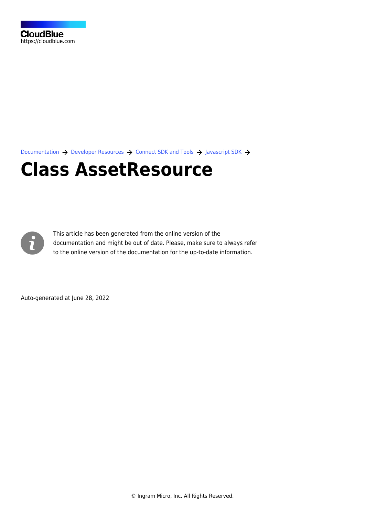[Documentation](https://connect.cloudblue.com/documentation)  $\rightarrow$  [Developer Resources](https://connect.cloudblue.com/community/developers/)  $\rightarrow$  [Connect SDK and Tools](https://connect.cloudblue.com/community/developers/sdk/)  $\rightarrow$  [Javascript SDK](https://connect.cloudblue.com/community/developers/sdk/javascript-sdk/)  $\rightarrow$ 

# **[Class AssetResource](https://connect.cloudblue.com/community/developers/sdk/javascript-sdk/class-assetresource/)**



This article has been generated from the online version of the documentation and might be out of date. Please, make sure to always refer to the online version of the documentation for the up-to-date information.

Auto-generated at June 28, 2022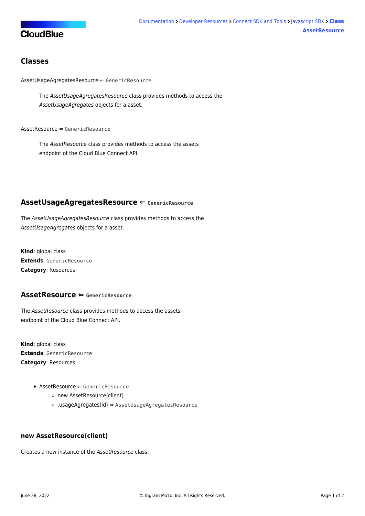## **CloudBlue**

### **Classes**

[AssetUsageAgregatesResource](#page-1-0) ⇐ GenericResource

The AssetUsageAgregatesResource class provides methods to access the AssetUsageAgregates objects for a asset.

[AssetResource](#page-1-1) ⇐ GenericResource

The AssetResource class provides methods to access the assets endpoint of the Cloud Blue Connect API.

#### <span id="page-1-0"></span>**AssetUsageAgregatesResource ⇐ GenericResource**

The AssetUsageAgregatesResource class provides methods to access the AssetUsageAgregates objects for a asset.

**Kind**: global class **Extends**: GenericResource **Category**: Resources

#### <span id="page-1-1"></span>**AssetResource ⇐ GenericResource**

The AssetResource class provides methods to access the assets endpoint of the Cloud Blue Connect API.

**Kind**: global class **Extends**: GenericResource **Category**: Resources

- $\bullet$  [AssetResource](#page-1-1)  $\Leftarrow$  GenericResource
	- [new AssetResource\(client\)](#page-1-2)
	- [.usageAgregates\(id\)](#page-2-0) ⇒ [AssetUsageAgregatesResource](#page-1-0)

#### <span id="page-1-2"></span>**new AssetResource(client)**

Creates a new instance of the AssetResource class.